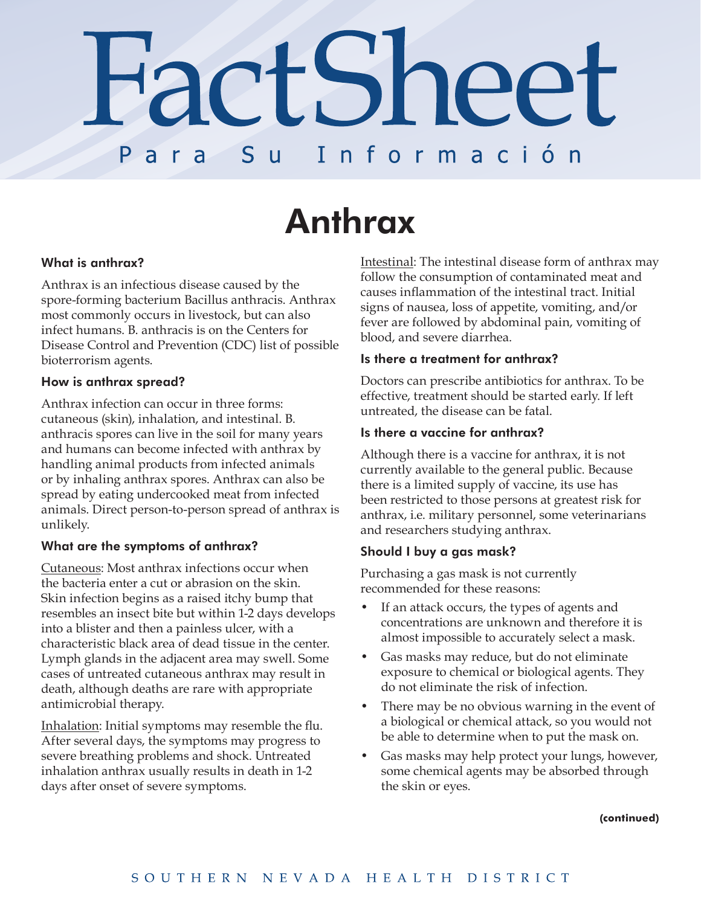# **FactSheet** S u ara Información **P**

# **Anthrax**

# What is anthrax?

Anthrax is an infectious disease caused by the spore-forming bacterium Bacillus anthracis. Anthrax most commonly occurs in livestock, but can also infect humans. B. anthracis is on the Centers for Disease Control and Prevention (CDC) list of possible bioterrorism agents.

### How is anthrax spread?

Anthrax infection can occur in three forms: cutaneous (skin), inhalation, and intestinal. B. anthracis spores can live in the soil for many years and humans can become infected with anthrax by handling animal products from infected animals or by inhaling anthrax spores. Anthrax can also be spread by eating undercooked meat from infected animals. Direct person-to-person spread of anthrax is unlikely.

# What are the symptoms of anthrax?

Cutaneous: Most anthrax infections occur when the bacteria enter a cut or abrasion on the skin. Skin infection begins as a raised itchy bump that resembles an insect bite but within 1-2 days develops into a blister and then a painless ulcer, with a characteristic black area of dead tissue in the center. Lymph glands in the adjacent area may swell. Some cases of untreated cutaneous anthrax may result in death, although deaths are rare with appropriate antimicrobial therapy.

Inhalation: Initial symptoms may resemble the flu. After several days, the symptoms may progress to severe breathing problems and shock. Untreated inhalation anthrax usually results in death in 1-2 days after onset of severe symptoms.

Intestinal: The intestinal disease form of anthrax may follow the consumption of contaminated meat and causes inflammation of the intestinal tract. Initial signs of nausea, loss of appetite, vomiting, and/or fever are followed by abdominal pain, vomiting of blood, and severe diarrhea.

#### Is there a treatment for anthrax?

Doctors can prescribe antibiotics for anthrax. To be effective, treatment should be started early. If left untreated, the disease can be fatal.

#### Is there a vaccine for anthrax?

Although there is a vaccine for anthrax, it is not currently available to the general public. Because there is a limited supply of vaccine, its use has been restricted to those persons at greatest risk for anthrax, i.e. military personnel, some veterinarians and researchers studying anthrax.

# Should I buy a gas mask?

Purchasing a gas mask is not currently recommended for these reasons:

- If an attack occurs, the types of agents and concentrations are unknown and therefore it is almost impossible to accurately select a mask.
- Gas masks may reduce, but do not eliminate exposure to chemical or biological agents. They do not eliminate the risk of infection.
- There may be no obvious warning in the event of a biological or chemical attack, so you would not be able to determine when to put the mask on.
- Gas masks may help protect your lungs, however, some chemical agents may be absorbed through the skin or eyes.

**(continued)**